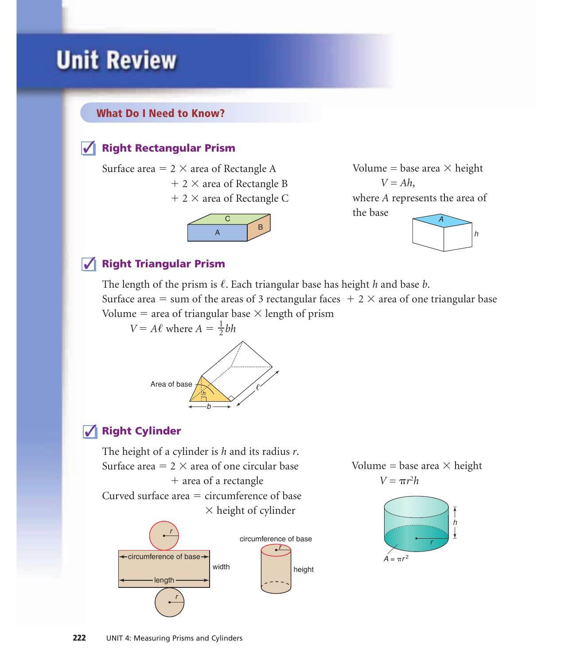# **Unit Review**

## What Do I Need to Know?

## **√ Right Rectangular Prism**

Surface area  $= 2 \times$  area of Rectangle A

- $+ 2 \times$  area of Rectangle B
- + 2 × area of Rectangle C





## $\overline{\sqrt{\ }}$  Right Triangular Prism

The length of the prism is  $\ell$ . Each triangular base has height *h* and base *b*.

Surface area = sum of the areas of 3 rectangular faces  $+2 \times$  area of one triangular base Volume = area of triangular base  $\times$  length of prism

*V* = *A* $\ell$  where *A* =  $\frac{1}{2}bh$ 2



## **√ Right Cylinder**

The height of a cylinder is *h* and its radius *r*. Surface area  $= 2 \times$  area of one circular base - area of a rectangle Curved surface area  $=$  circumference of base  $\times$  height of cylinder width r r height ← circumference of base circumference of base





length

r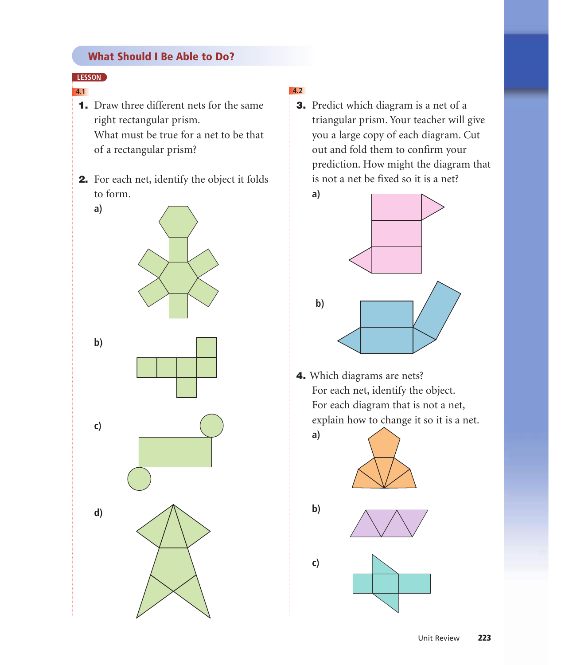## What Should I Be Able to Do?

## **LESSON**

- 1. Draw three different nets for the same right rectangular prism. What must be true for a net to be that of a rectangular prism?
- 2. For each net, identify the object it folds to form.



## **4.1 4.2**

3. Predict which diagram is a net of a triangular prism. Your teacher will give you a large copy of each diagram. Cut out and fold them to confirm your prediction. How might the diagram that is not a net be fixed so it is a net?



4. Which diagrams are nets? For each net, identify the object. For each diagram that is not a net, explain how to change it so it is a net.



**a)**

**b)**

**c)**



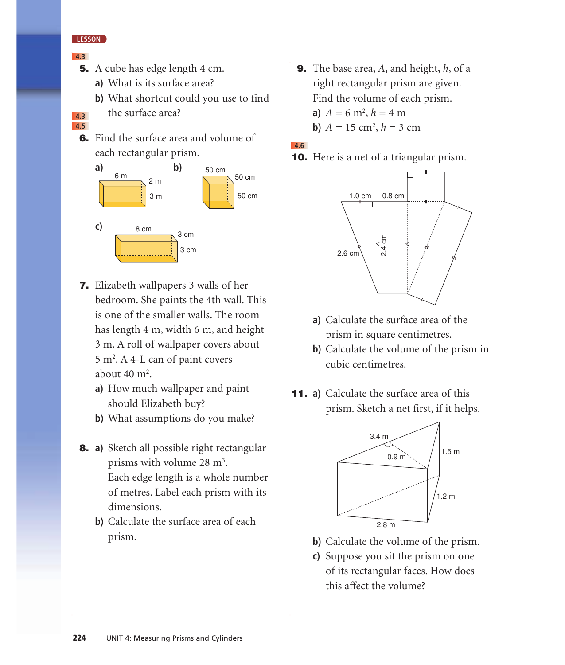## **LESSON**

### **4.3**

- **5.** A cube has edge length 4 cm.
	- **a)** What is its surface area?

**b)** What shortcut could you use to find the surface area?

**4.3 4.5**

> 6. Find the surface area and volume of each rectangular prism.



- 7. Elizabeth wallpapers 3 walls of her bedroom. She paints the 4th wall. This is one of the smaller walls. The room has length 4 m, width 6 m, and height 3 m. A roll of wallpaper covers about 5 m<sup>2</sup> . A 4-L can of paint covers about  $40 \text{ m}^2$ .
	- **a)** How much wallpaper and paint should Elizabeth buy?
	- **b)** What assumptions do you make?
- 8. **a)** Sketch all possible right rectangular prisms with volume 28 m<sup>3</sup>. Each edge length is a whole number of metres. Label each prism with its dimensions.
	- **b)** Calculate the surface area of each prism.
- 9. The base area, *A*, and height, *h*, of a right rectangular prism are given. Find the volume of each prism. **a**)  $A = 6 \text{ m}^2, h = 4 \text{ m}$ **b**)  $A = 15$  cm<sup>2</sup>,  $h = 3$  cm
- **4.6**
- 10. Here is a net of a triangular prism.



- **a)** Calculate the surface area of the prism in square centimetres.
- **b)** Calculate the volume of the prism in cubic centimetres.
- 11. **a)** Calculate the surface area of this prism. Sketch a net first, if it helps.



- **b)** Calculate the volume of the prism.
- **c)** Suppose you sit the prism on one of its rectangular faces. How does this affect the volume?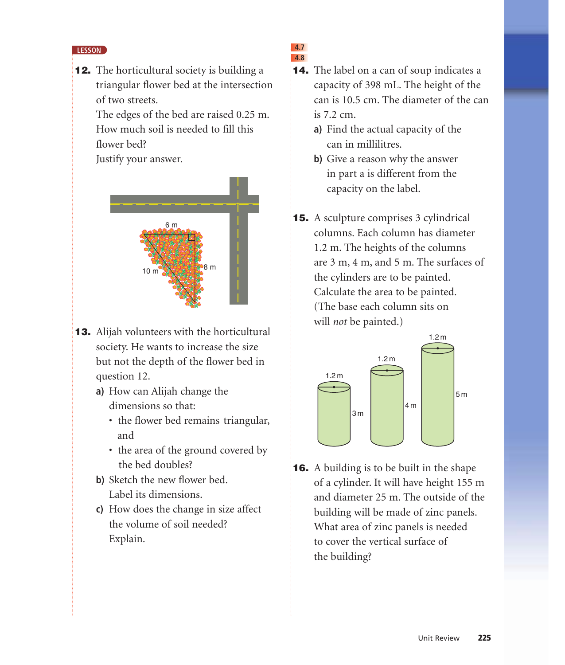### **LESSON**

**12.** The horticultural society is building a triangular flower bed at the intersection of two streets.

> The edges of the bed are raised 0.25 m. How much soil is needed to fill this flower bed?

Justify your answer.



- 13. Alijah volunteers with the horticultural society. He wants to increase the size but not the depth of the flower bed in question 12.
	- **a)** How can Alijah change the dimensions so that:
		- the flower bed remains triangular, and
		- the area of the ground covered by the bed doubles?
	- **b)** Sketch the new flower bed. Label its dimensions.
	- **c)** How does the change in size affect the volume of soil needed? Explain.

### **4.7 4.8**

- **14.** The label on a can of soup indicates a capacity of 398 mL. The height of the can is 10.5 cm. The diameter of the can is 7.2 cm.
	- **a)** Find the actual capacity of the can in millilitres.
	- **b)** Give a reason why the answer in part a is different from the capacity on the label.
- 15. A sculpture comprises 3 cylindrical columns. Each column has diameter 1.2 m. The heights of the columns are 3 m, 4 m, and 5 m. The surfaces of the cylinders are to be painted. Calculate the area to be painted. (The base each column sits on will *not* be painted.)



**16.** A building is to be built in the shape of a cylinder. It will have height 155 m and diameter 25 m. The outside of the building will be made of zinc panels. What area of zinc panels is needed to cover the vertical surface of the building?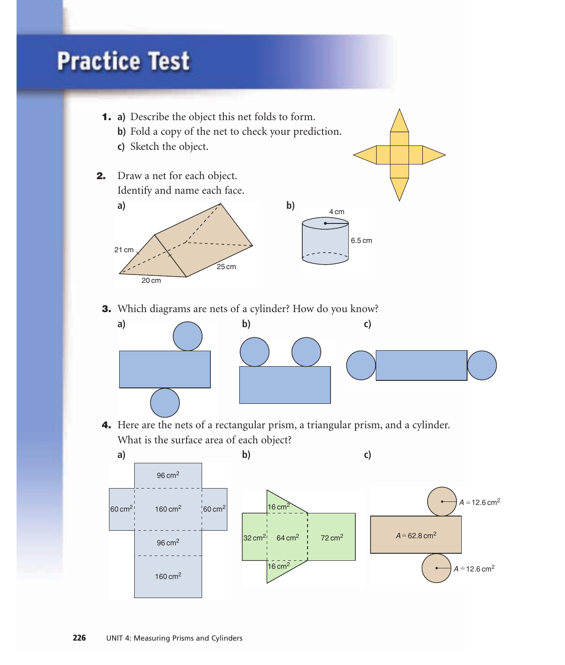# **Practice Test**



 $16 \text{ cm}^2$ 

 $32 \text{ cm}^2$  64 cm<sup>2</sup> 72 cm<sup>2</sup>

 $A = 12.6$  cm<sup>2</sup>

 $160 \text{ cm}^2$ 

96 cm<sup>2</sup>